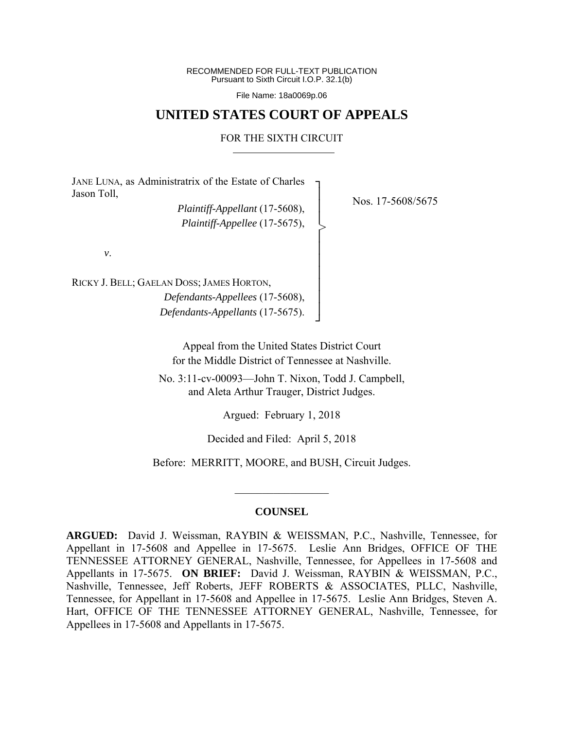RECOMMENDED FOR FULL-TEXT PUBLICATION Pursuant to Sixth Circuit I.O.P. 32.1(b)

File Name: 18a0069p.06

## **UNITED STATES COURT OF APPEALS**

FOR THE SIXTH CIRCUIT

┐ │ │ │ │ │ │ │ │ │ │ ┘

>

JANE LUNA, as Administratrix of the Estate of Charles Jason Toll,

> *Plaintiff-Appellant* (17-5608), *Plaintiff-Appellee* (17-5675),

Nos. 17-5608/5675

*v*.

RICKY J. BELL; GAELAN DOSS; JAMES HORTON, *Defendants-Appellees* (17-5608), *Defendants-Appellants* (17-5675).

> Appeal from the United States District Court for the Middle District of Tennessee at Nashville.

No. 3:11-cv-00093—John T. Nixon, Todd J. Campbell, and Aleta Arthur Trauger, District Judges.

Argued: February 1, 2018

Decided and Filed: April 5, 2018

Before: MERRITT, MOORE, and BUSH, Circuit Judges.

### **COUNSEL**

 $\frac{1}{2}$ 

**ARGUED:** David J. Weissman, RAYBIN & WEISSMAN, P.C., Nashville, Tennessee, for Appellant in 17-5608 and Appellee in 17-5675. Leslie Ann Bridges, OFFICE OF THE TENNESSEE ATTORNEY GENERAL, Nashville, Tennessee, for Appellees in 17-5608 and Appellants in 17-5675. **ON BRIEF:** David J. Weissman, RAYBIN & WEISSMAN, P.C., Nashville, Tennessee, Jeff Roberts, JEFF ROBERTS & ASSOCIATES, PLLC, Nashville, Tennessee, for Appellant in 17-5608 and Appellee in 17-5675. Leslie Ann Bridges, Steven A. Hart, OFFICE OF THE TENNESSEE ATTORNEY GENERAL, Nashville, Tennessee, for Appellees in 17-5608 and Appellants in 17-5675.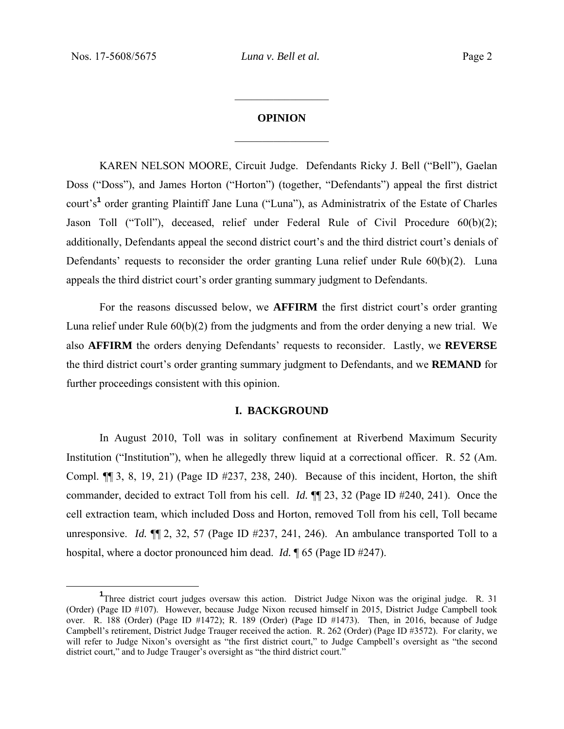# **OPINION**   $\frac{1}{2}$

 $\frac{1}{2}$ 

KAREN NELSON MOORE, Circuit Judge. Defendants Ricky J. Bell ("Bell"), Gaelan Doss ("Doss"), and James Horton ("Horton") (together, "Defendants") appeal the first district court's<sup>1</sup> order granting Plaintiff Jane Luna ("Luna"), as Administratrix of the Estate of Charles Jason Toll ("Toll"), deceased, relief under Federal Rule of Civil Procedure 60(b)(2); additionally, Defendants appeal the second district court's and the third district court's denials of Defendants' requests to reconsider the order granting Luna relief under Rule 60(b)(2). Luna appeals the third district court's order granting summary judgment to Defendants.

 For the reasons discussed below, we **AFFIRM** the first district court's order granting Luna relief under Rule 60(b)(2) from the judgments and from the order denying a new trial. We also **AFFIRM** the orders denying Defendants' requests to reconsider. Lastly, we **REVERSE** the third district court's order granting summary judgment to Defendants, and we **REMAND** for further proceedings consistent with this opinion.

#### **I. BACKGROUND**

 In August 2010, Toll was in solitary confinement at Riverbend Maximum Security Institution ("Institution"), when he allegedly threw liquid at a correctional officer. R. 52 (Am. Compl. ¶¶ 3, 8, 19, 21) (Page ID #237, 238, 240). Because of this incident, Horton, the shift commander, decided to extract Toll from his cell. *Id.* ¶¶ 23, 32 (Page ID #240, 241). Once the cell extraction team, which included Doss and Horton, removed Toll from his cell, Toll became unresponsive. *Id.* ¶¶ 2, 32, 57 (Page ID #237, 241, 246). An ambulance transported Toll to a hospital, where a doctor pronounced him dead. *Id.* ¶ 65 (Page ID #247).

<sup>&</sup>lt;u>1</u> <sup>1</sup>Three district court judges oversaw this action. District Judge Nixon was the original judge. R. 31 (Order) (Page ID #107). However, because Judge Nixon recused himself in 2015, District Judge Campbell took over. R. 188 (Order) (Page ID #1472); R. 189 (Order) (Page ID #1473). Then, in 2016, because of Judge Campbell's retirement, District Judge Trauger received the action. R. 262 (Order) (Page ID #3572). For clarity, we will refer to Judge Nixon's oversight as "the first district court," to Judge Campbell's oversight as "the second district court," and to Judge Trauger's oversight as "the third district court."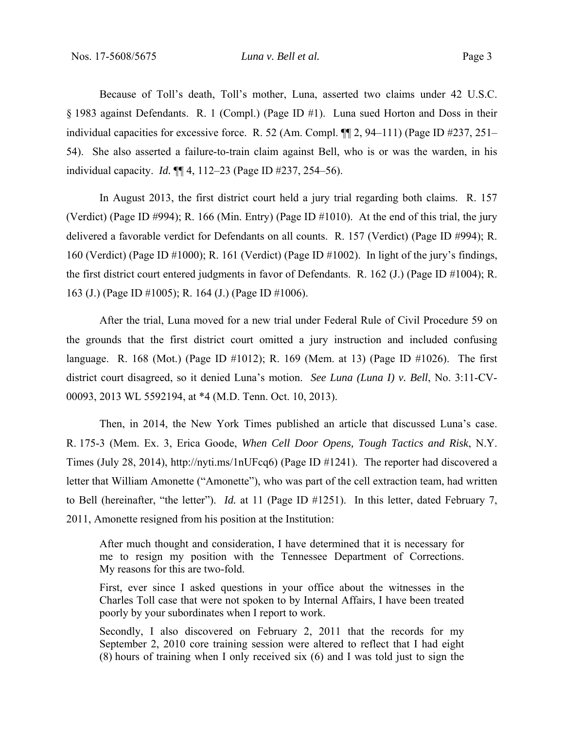Because of Toll's death, Toll's mother, Luna, asserted two claims under 42 U.S.C. § 1983 against Defendants. R. 1 (Compl.) (Page ID #1). Luna sued Horton and Doss in their individual capacities for excessive force. R. 52 (Am. Compl. ¶¶ 2, 94–111) (Page ID #237, 251– 54). She also asserted a failure-to-train claim against Bell, who is or was the warden, in his individual capacity. *Id.* ¶¶ 4, 112–23 (Page ID #237, 254–56).

 In August 2013, the first district court held a jury trial regarding both claims. R. 157 (Verdict) (Page ID #994); R. 166 (Min. Entry) (Page ID #1010). At the end of this trial, the jury delivered a favorable verdict for Defendants on all counts. R. 157 (Verdict) (Page ID #994); R. 160 (Verdict) (Page ID #1000); R. 161 (Verdict) (Page ID #1002). In light of the jury's findings, the first district court entered judgments in favor of Defendants. R. 162 (J.) (Page ID #1004); R. 163 (J.) (Page ID #1005); R. 164 (J.) (Page ID #1006).

 After the trial, Luna moved for a new trial under Federal Rule of Civil Procedure 59 on the grounds that the first district court omitted a jury instruction and included confusing language. R. 168 (Mot.) (Page ID #1012); R. 169 (Mem. at 13) (Page ID #1026). The first district court disagreed, so it denied Luna's motion. *See Luna (Luna I) v. Bell*, No. 3:11-CV-00093, 2013 WL 5592194, at \*4 (M.D. Tenn. Oct. 10, 2013).

 Then, in 2014, the New York Times published an article that discussed Luna's case. R. 175-3 (Mem. Ex. 3, Erica Goode, *When Cell Door Opens, Tough Tactics and Risk*, N.Y. Times (July 28, 2014), http://nyti.ms/1nUFcq6) (Page ID #1241). The reporter had discovered a letter that William Amonette ("Amonette"), who was part of the cell extraction team, had written to Bell (hereinafter, "the letter"). *Id.* at 11 (Page ID #1251). In this letter, dated February 7, 2011, Amonette resigned from his position at the Institution:

After much thought and consideration, I have determined that it is necessary for me to resign my position with the Tennessee Department of Corrections. My reasons for this are two-fold.

First, ever since I asked questions in your office about the witnesses in the Charles Toll case that were not spoken to by Internal Affairs, I have been treated poorly by your subordinates when I report to work.

Secondly, I also discovered on February 2, 2011 that the records for my September 2, 2010 core training session were altered to reflect that I had eight (8) hours of training when I only received six (6) and I was told just to sign the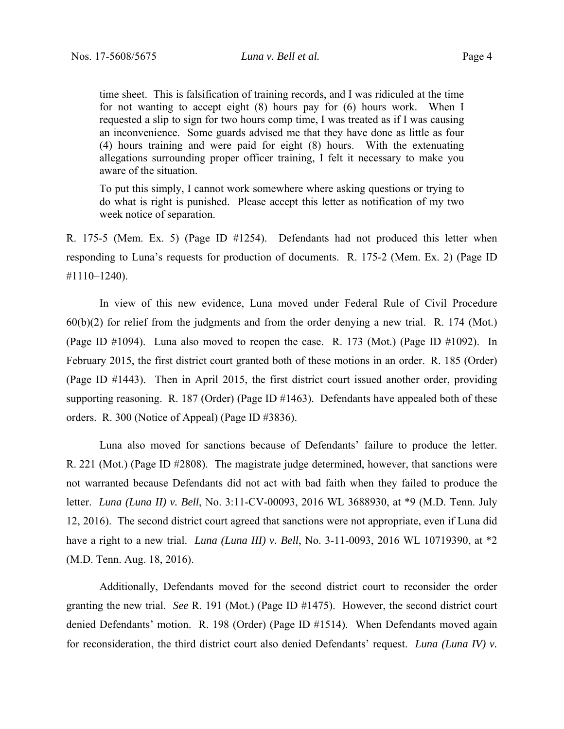time sheet. This is falsification of training records, and I was ridiculed at the time for not wanting to accept eight (8) hours pay for (6) hours work. When I requested a slip to sign for two hours comp time, I was treated as if I was causing an inconvenience. Some guards advised me that they have done as little as four (4) hours training and were paid for eight (8) hours. With the extenuating allegations surrounding proper officer training, I felt it necessary to make you aware of the situation.

To put this simply, I cannot work somewhere where asking questions or trying to do what is right is punished. Please accept this letter as notification of my two week notice of separation.

R. 175-5 (Mem. Ex. 5) (Page ID #1254). Defendants had not produced this letter when responding to Luna's requests for production of documents. R. 175-2 (Mem. Ex. 2) (Page ID #1110–1240).

 In view of this new evidence, Luna moved under Federal Rule of Civil Procedure 60(b)(2) for relief from the judgments and from the order denying a new trial. R. 174 (Mot.) (Page ID #1094). Luna also moved to reopen the case. R. 173 (Mot.) (Page ID #1092). In February 2015, the first district court granted both of these motions in an order. R. 185 (Order) (Page ID #1443). Then in April 2015, the first district court issued another order, providing supporting reasoning. R. 187 (Order) (Page ID #1463). Defendants have appealed both of these orders. R. 300 (Notice of Appeal) (Page ID #3836).

 Luna also moved for sanctions because of Defendants' failure to produce the letter. R. 221 (Mot.) (Page ID #2808). The magistrate judge determined, however, that sanctions were not warranted because Defendants did not act with bad faith when they failed to produce the letter. *Luna (Luna II) v. Bell*, No. 3:11-CV-00093, 2016 WL 3688930, at \*9 (M.D. Tenn. July 12, 2016). The second district court agreed that sanctions were not appropriate, even if Luna did have a right to a new trial. *Luna (Luna III) v. Bell*, No. 3-11-0093, 2016 WL 10719390, at \*2 (M.D. Tenn. Aug. 18, 2016).

 Additionally, Defendants moved for the second district court to reconsider the order granting the new trial. *See* R. 191 (Mot.) (Page ID #1475). However, the second district court denied Defendants' motion. R. 198 (Order) (Page ID #1514). When Defendants moved again for reconsideration, the third district court also denied Defendants' request. *Luna (Luna IV) v.*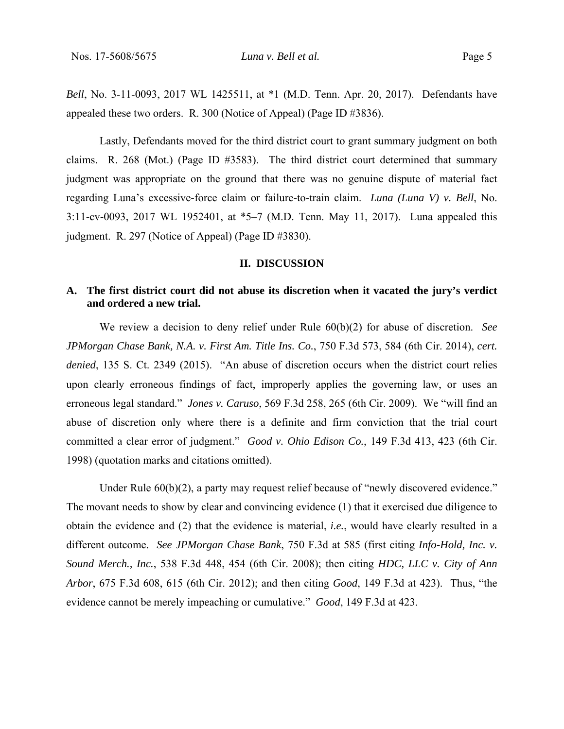*Bell*, No. 3-11-0093, 2017 WL 1425511, at \*1 (M.D. Tenn. Apr. 20, 2017). Defendants have appealed these two orders. R. 300 (Notice of Appeal) (Page ID #3836).

 Lastly, Defendants moved for the third district court to grant summary judgment on both claims. R. 268 (Mot.) (Page ID #3583). The third district court determined that summary judgment was appropriate on the ground that there was no genuine dispute of material fact regarding Luna's excessive-force claim or failure-to-train claim. *Luna (Luna V) v. Bell*, No. 3:11-cv-0093, 2017 WL 1952401, at \*5–7 (M.D. Tenn. May 11, 2017). Luna appealed this judgment. R. 297 (Notice of Appeal) (Page ID #3830).

#### **II. DISCUSSION**

# **A. The first district court did not abuse its discretion when it vacated the jury's verdict and ordered a new trial.**

 We review a decision to deny relief under Rule 60(b)(2) for abuse of discretion. *See JPMorgan Chase Bank, N.A. v. First Am. Title Ins. Co.*, 750 F.3d 573, 584 (6th Cir. 2014), *cert. denied*, 135 S. Ct. 2349 (2015). "An abuse of discretion occurs when the district court relies upon clearly erroneous findings of fact, improperly applies the governing law, or uses an erroneous legal standard." *Jones v. Caruso*, 569 F.3d 258, 265 (6th Cir. 2009). We "will find an abuse of discretion only where there is a definite and firm conviction that the trial court committed a clear error of judgment." *Good v. Ohio Edison Co.*, 149 F.3d 413, 423 (6th Cir. 1998) (quotation marks and citations omitted).

Under Rule  $60(b)(2)$ , a party may request relief because of "newly discovered evidence." The movant needs to show by clear and convincing evidence (1) that it exercised due diligence to obtain the evidence and (2) that the evidence is material, *i.e.*, would have clearly resulted in a different outcome. *See JPMorgan Chase Bank*, 750 F.3d at 585 (first citing *Info-Hold, Inc. v. Sound Merch., Inc.*, 538 F.3d 448, 454 (6th Cir. 2008); then citing *HDC, LLC v. City of Ann Arbor*, 675 F.3d 608, 615 (6th Cir. 2012); and then citing *Good*, 149 F.3d at 423). Thus, "the evidence cannot be merely impeaching or cumulative." *Good*, 149 F.3d at 423.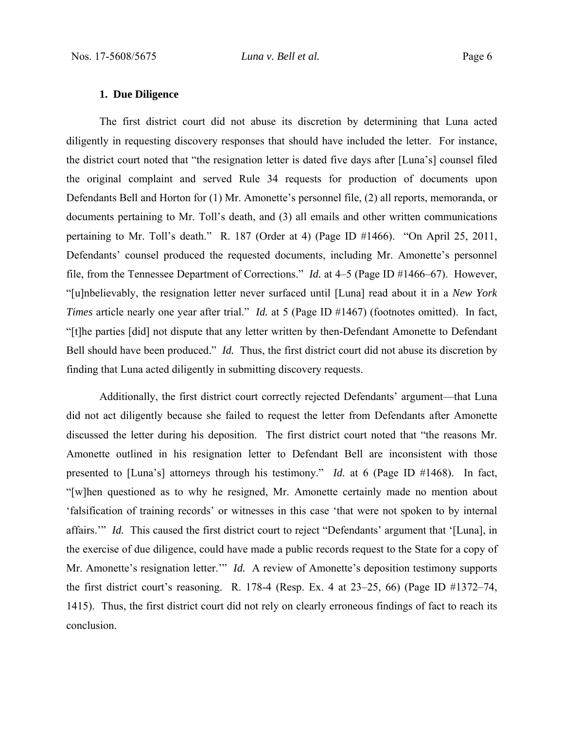### **1. Due Diligence**

 The first district court did not abuse its discretion by determining that Luna acted diligently in requesting discovery responses that should have included the letter. For instance, the district court noted that "the resignation letter is dated five days after [Luna's] counsel filed the original complaint and served Rule 34 requests for production of documents upon Defendants Bell and Horton for (1) Mr. Amonette's personnel file, (2) all reports, memoranda, or documents pertaining to Mr. Toll's death, and (3) all emails and other written communications pertaining to Mr. Toll's death." R. 187 (Order at 4) (Page ID #1466). "On April 25, 2011, Defendants' counsel produced the requested documents, including Mr. Amonette's personnel file, from the Tennessee Department of Corrections." *Id.* at 4–5 (Page ID #1466–67). However, "[u]nbelievably, the resignation letter never surfaced until [Luna] read about it in a *New York Times* article nearly one year after trial." *Id.* at 5 (Page ID #1467) (footnotes omitted). In fact, "[t]he parties [did] not dispute that any letter written by then-Defendant Amonette to Defendant Bell should have been produced." *Id.* Thus, the first district court did not abuse its discretion by finding that Luna acted diligently in submitting discovery requests.

 Additionally, the first district court correctly rejected Defendants' argument—that Luna did not act diligently because she failed to request the letter from Defendants after Amonette discussed the letter during his deposition. The first district court noted that "the reasons Mr. Amonette outlined in his resignation letter to Defendant Bell are inconsistent with those presented to [Luna's] attorneys through his testimony." *Id.* at 6 (Page ID #1468). In fact, "[w]hen questioned as to why he resigned, Mr. Amonette certainly made no mention about 'falsification of training records' or witnesses in this case 'that were not spoken to by internal affairs.'" *Id.* This caused the first district court to reject "Defendants' argument that '[Luna], in the exercise of due diligence, could have made a public records request to the State for a copy of Mr. Amonette's resignation letter." *Id.* A review of Amonette's deposition testimony supports the first district court's reasoning. R. 178-4 (Resp. Ex. 4 at 23–25, 66) (Page ID #1372–74, 1415). Thus, the first district court did not rely on clearly erroneous findings of fact to reach its conclusion.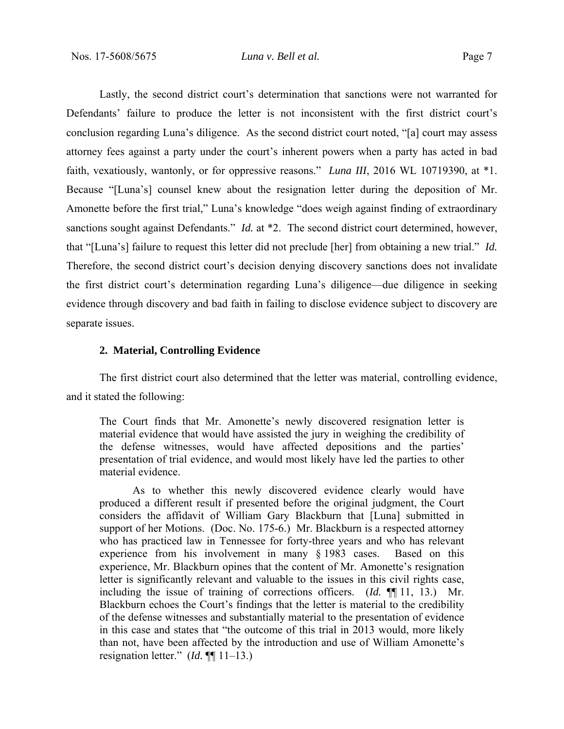Lastly, the second district court's determination that sanctions were not warranted for Defendants' failure to produce the letter is not inconsistent with the first district court's conclusion regarding Luna's diligence. As the second district court noted, "[a] court may assess attorney fees against a party under the court's inherent powers when a party has acted in bad faith, vexatiously, wantonly, or for oppressive reasons." *Luna III*, 2016 WL 10719390, at \*1. Because "[Luna's] counsel knew about the resignation letter during the deposition of Mr. Amonette before the first trial," Luna's knowledge "does weigh against finding of extraordinary sanctions sought against Defendants." *Id.* at \*2. The second district court determined, however, that "[Luna's] failure to request this letter did not preclude [her] from obtaining a new trial." *Id.* Therefore, the second district court's decision denying discovery sanctions does not invalidate the first district court's determination regarding Luna's diligence—due diligence in seeking evidence through discovery and bad faith in failing to disclose evidence subject to discovery are separate issues.

#### **2. Material, Controlling Evidence**

 The first district court also determined that the letter was material, controlling evidence, and it stated the following:

The Court finds that Mr. Amonette's newly discovered resignation letter is material evidence that would have assisted the jury in weighing the credibility of the defense witnesses, would have affected depositions and the parties' presentation of trial evidence, and would most likely have led the parties to other material evidence.

 As to whether this newly discovered evidence clearly would have produced a different result if presented before the original judgment, the Court considers the affidavit of William Gary Blackburn that [Luna] submitted in support of her Motions. (Doc. No. 175-6.) Mr. Blackburn is a respected attorney who has practiced law in Tennessee for forty-three years and who has relevant experience from his involvement in many § 1983 cases. Based on this experience, Mr. Blackburn opines that the content of Mr. Amonette's resignation letter is significantly relevant and valuable to the issues in this civil rights case, including the issue of training of corrections officers. (*Id.* ¶¶ 11, 13.) Mr. Blackburn echoes the Court's findings that the letter is material to the credibility of the defense witnesses and substantially material to the presentation of evidence in this case and states that "the outcome of this trial in 2013 would, more likely than not, have been affected by the introduction and use of William Amonette's resignation letter." (*Id.* ¶¶ 11–13.)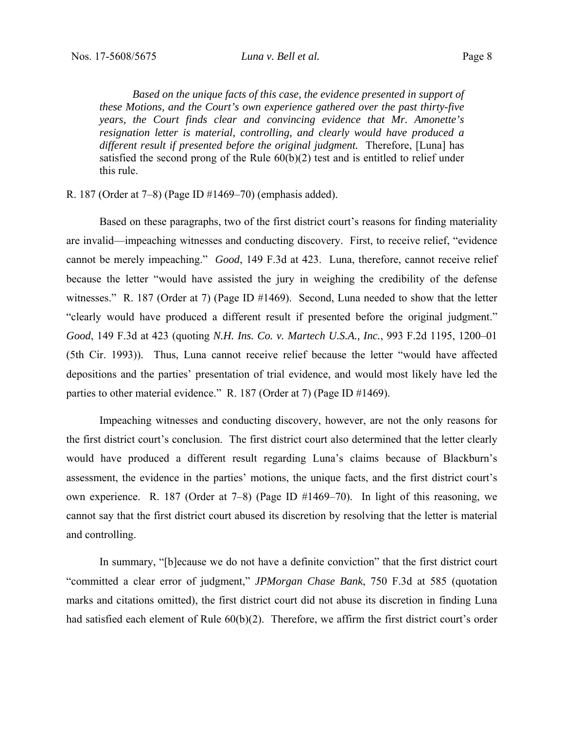*Based on the unique facts of this case, the evidence presented in support of these Motions, and the Court's own experience gathered over the past thirty-five years, the Court finds clear and convincing evidence that Mr. Amonette's resignation letter is material, controlling, and clearly would have produced a different result if presented before the original judgment.* Therefore, [Luna] has satisfied the second prong of the Rule 60(b)(2) test and is entitled to relief under this rule.

R. 187 (Order at 7–8) (Page ID #1469–70) (emphasis added).

 Based on these paragraphs, two of the first district court's reasons for finding materiality are invalid—impeaching witnesses and conducting discovery. First, to receive relief, "evidence cannot be merely impeaching." *Good*, 149 F.3d at 423. Luna, therefore, cannot receive relief because the letter "would have assisted the jury in weighing the credibility of the defense witnesses." R. 187 (Order at 7) (Page ID #1469). Second, Luna needed to show that the letter "clearly would have produced a different result if presented before the original judgment." *Good*, 149 F.3d at 423 (quoting *N.H. Ins. Co. v. Martech U.S.A., Inc.*, 993 F.2d 1195, 1200–01 (5th Cir. 1993)). Thus, Luna cannot receive relief because the letter "would have affected depositions and the parties' presentation of trial evidence, and would most likely have led the parties to other material evidence." R. 187 (Order at 7) (Page ID #1469).

 Impeaching witnesses and conducting discovery, however, are not the only reasons for the first district court's conclusion. The first district court also determined that the letter clearly would have produced a different result regarding Luna's claims because of Blackburn's assessment, the evidence in the parties' motions, the unique facts, and the first district court's own experience. R. 187 (Order at 7–8) (Page ID #1469–70). In light of this reasoning, we cannot say that the first district court abused its discretion by resolving that the letter is material and controlling.

 In summary, "[b]ecause we do not have a definite conviction" that the first district court "committed a clear error of judgment," *JPMorgan Chase Bank*, 750 F.3d at 585 (quotation marks and citations omitted), the first district court did not abuse its discretion in finding Luna had satisfied each element of Rule  $60(b)(2)$ . Therefore, we affirm the first district court's order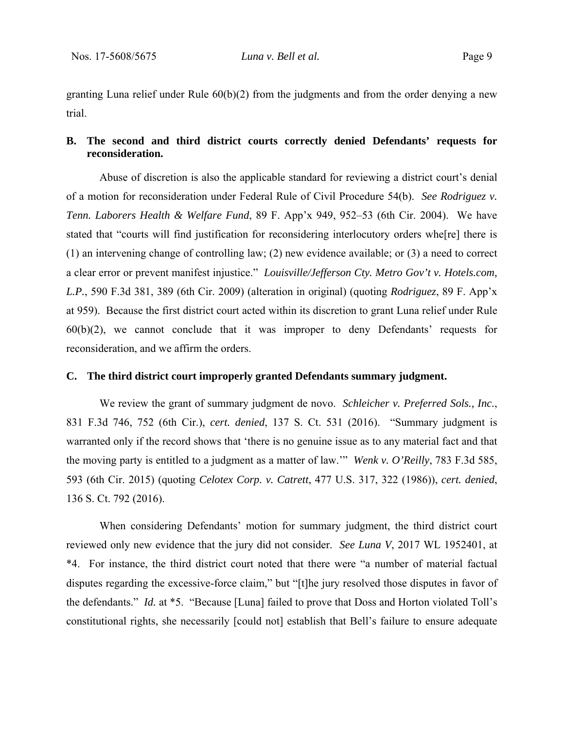granting Luna relief under Rule 60(b)(2) from the judgments and from the order denying a new trial.

## **B. The second and third district courts correctly denied Defendants' requests for reconsideration.**

 Abuse of discretion is also the applicable standard for reviewing a district court's denial of a motion for reconsideration under Federal Rule of Civil Procedure 54(b). *See Rodriguez v. Tenn. Laborers Health & Welfare Fund*, 89 F. App'x 949, 952–53 (6th Cir. 2004). We have stated that "courts will find justification for reconsidering interlocutory orders whe[re] there is (1) an intervening change of controlling law; (2) new evidence available; or (3) a need to correct a clear error or prevent manifest injustice." *Louisville/Jefferson Cty. Metro Gov't v. Hotels.com, L.P.*, 590 F.3d 381, 389 (6th Cir. 2009) (alteration in original) (quoting *Rodriguez*, 89 F. App'x at 959). Because the first district court acted within its discretion to grant Luna relief under Rule 60(b)(2), we cannot conclude that it was improper to deny Defendants' requests for reconsideration, and we affirm the orders.

## **C. The third district court improperly granted Defendants summary judgment.**

 We review the grant of summary judgment de novo. *Schleicher v. Preferred Sols., Inc.*, 831 F.3d 746, 752 (6th Cir.), *cert. denied*, 137 S. Ct. 531 (2016). "Summary judgment is warranted only if the record shows that 'there is no genuine issue as to any material fact and that the moving party is entitled to a judgment as a matter of law.'" *Wenk v. O'Reilly*, 783 F.3d 585, 593 (6th Cir. 2015) (quoting *Celotex Corp. v. Catrett*, 477 U.S. 317, 322 (1986)), *cert. denied*, 136 S. Ct. 792 (2016).

 When considering Defendants' motion for summary judgment, the third district court reviewed only new evidence that the jury did not consider. *See Luna V*, 2017 WL 1952401, at \*4. For instance, the third district court noted that there were "a number of material factual disputes regarding the excessive-force claim," but "[t]he jury resolved those disputes in favor of the defendants." *Id.* at \*5. "Because [Luna] failed to prove that Doss and Horton violated Toll's constitutional rights, she necessarily [could not] establish that Bell's failure to ensure adequate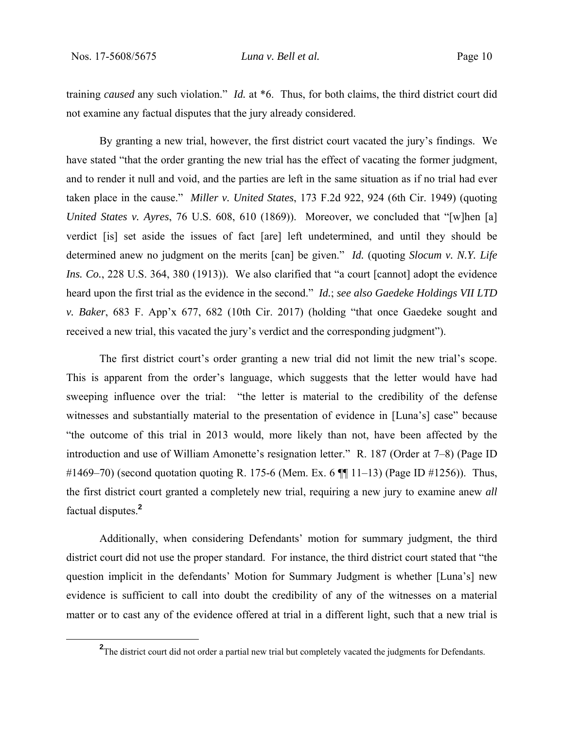training *caused* any such violation." *Id.* at \*6. Thus, for both claims, the third district court did not examine any factual disputes that the jury already considered.

 By granting a new trial, however, the first district court vacated the jury's findings. We have stated "that the order granting the new trial has the effect of vacating the former judgment, and to render it null and void, and the parties are left in the same situation as if no trial had ever taken place in the cause." *Miller v. United States*, 173 F.2d 922, 924 (6th Cir. 1949) (quoting *United States v. Ayres*, 76 U.S. 608, 610 (1869)). Moreover, we concluded that "[w]hen [a] verdict [is] set aside the issues of fact [are] left undetermined, and until they should be determined anew no judgment on the merits [can] be given." *Id.* (quoting *Slocum v. N.Y. Life Ins. Co.*, 228 U.S. 364, 380 (1913)). We also clarified that "a court [cannot] adopt the evidence heard upon the first trial as the evidence in the second." *Id.*; *see also Gaedeke Holdings VII LTD v. Baker*, 683 F. App'x 677, 682 (10th Cir. 2017) (holding "that once Gaedeke sought and received a new trial, this vacated the jury's verdict and the corresponding judgment").

 The first district court's order granting a new trial did not limit the new trial's scope. This is apparent from the order's language, which suggests that the letter would have had sweeping influence over the trial: "the letter is material to the credibility of the defense witnesses and substantially material to the presentation of evidence in [Luna's] case" because "the outcome of this trial in 2013 would, more likely than not, have been affected by the introduction and use of William Amonette's resignation letter." R. 187 (Order at 7–8) (Page ID #1469–70) (second quotation quoting R. 175-6 (Mem. Ex. 6  $\P$  11–13) (Page ID #1256)). Thus, the first district court granted a completely new trial, requiring a new jury to examine anew *all* factual disputes.**<sup>2</sup>**

 Additionally, when considering Defendants' motion for summary judgment, the third district court did not use the proper standard. For instance, the third district court stated that "the question implicit in the defendants' Motion for Summary Judgment is whether [Luna's] new evidence is sufficient to call into doubt the credibility of any of the witnesses on a material matter or to cast any of the evidence offered at trial in a different light, such that a new trial is

**<sup>2</sup>** <sup>2</sup>The district court did not order a partial new trial but completely vacated the judgments for Defendants.